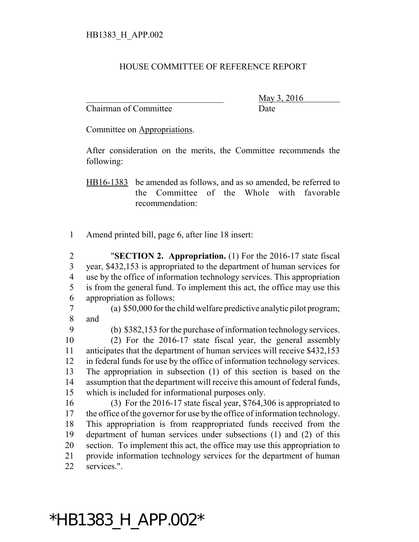## HOUSE COMMITTEE OF REFERENCE REPORT

Chairman of Committee Date

\_\_\_\_\_\_\_\_\_\_\_\_\_\_\_\_\_\_\_\_\_\_\_\_\_\_\_\_\_\_\_ May 3, 2016

Committee on Appropriations.

After consideration on the merits, the Committee recommends the following:

HB16-1383 be amended as follows, and as so amended, be referred to the Committee of the Whole with favorable recommendation:

Amend printed bill, page 6, after line 18 insert:

 "**SECTION 2. Appropriation.** (1) For the 2016-17 state fiscal year, \$432,153 is appropriated to the department of human services for use by the office of information technology services. This appropriation is from the general fund. To implement this act, the office may use this appropriation as follows:

 (a) \$50,000 for the child welfare predictive analytic pilot program; and

 (b) \$382,153 for the purchase of information technology services. (2) For the 2016-17 state fiscal year, the general assembly

 anticipates that the department of human services will receive \$432,153 in federal funds for use by the office of information technology services. The appropriation in subsection (1) of this section is based on the assumption that the department will receive this amount of federal funds, which is included for informational purposes only.

 (3) For the 2016-17 state fiscal year, \$764,306 is appropriated to the office of the governor for use by the office of information technology. This appropriation is from reappropriated funds received from the department of human services under subsections (1) and (2) of this section. To implement this act, the office may use this appropriation to provide information technology services for the department of human services.".

## \*HB1383\_H\_APP.002\*